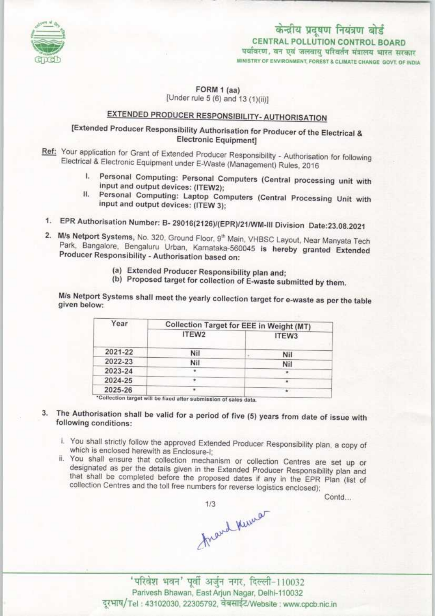

# केन्द्रीय प्रदूषण नियंत्रण बोर्ड CENTRAL POLLUTION CONTROL BOARD<br>पर्यावरण, वन एवं जलवाय परिवर्तन मंत्रालय भारत सरकार

MINISTRY OF ENVIRONMENT, FOREST & CLIMATE CHANGE GOVT, OF INDIA

FORM 1 (aa)

[Under rule 5 (6) and 13 (1)(ii)]

## EXTENDED PRODUCER RESPONSIBILITY- AUTHORISATION

### [Extended Producer Responsibility Authorisation for Producer of the Electrical & Electronic Equipment]

- Ref: Your application for Grant of Extended Producer Responsibility Authorisation for following Electrical & Electronic Equipment under E-Waste (Management) Rules, 2016<br>I. Personal Computing: Personal Computers (Central processing unit with
	- input and output devices; (ITEW2);
	- II. Personal Computing: Laptop Computers (Central Processing Unit with Input and output devices: (ITEW 3);
- 1.EPR Authorisation Number: B-29016(Z126)/(EPR)/21/WM-lll Division Date:23.OB.2O21
- 2. M/s Netport Systems, No. 320, Ground Floor, 9<sup>th</sup> Main, VHBSC Layout, Near Manyata Tech Park, Bangalore, Bengaluru Urban, Karnataka-560045 is hereby granted Extended Producer Responsibility - Authorisation based on:
	- (a) Extended Producer Responsibility plan and;
	- (b) Proposed target for collection of E-waste submitted by them.

M/s Netport Systems shall meet the yearly collection target for e-waste as per the table given below:

| Year    | Collection Target for EEE in Weight (MT) |           |
|---------|------------------------------------------|-----------|
|         | ITEW2                                    | ITEW3     |
| 2021-22 | Nil                                      | Nil       |
| 2022-23 | Nil                                      | Nil       |
| 2023-24 |                                          | $\bullet$ |
| 2024-25 |                                          |           |
| 2025-26 |                                          |           |

- 3. The Authorisation shall be valid for a period of five (5) years from date of issue with following conditions:
	- i. You shall strictly follow the approved Extended Producer Responsibility plan, a copy of which is enclosed herewith as Enclosure-I;<br>ii. You shall ensure that collection mechanism or collection Centres are set up or
	- designated as per the details given in the Extended Producer Responsibility plan and that shall be completed before the proposed dates if any in the EPR Plan (list of collection Centres and the toll free numbers for reverse logistics enclosed);

Contd...

Arand Kumar

'परिवेश भवन' पूर्वी अर्जुन नगर, दिल्ली-110032 Parivesh Bhawan, EastArjun Nagar, Delhi-110032 दूरभाष/Tel: 43102030, 22305792, वेबसाईट/Website: www.cpcb.nic.in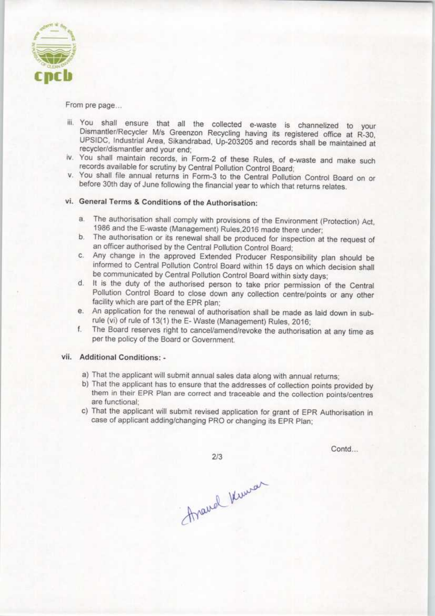

From pre page...

- iii. You shall ensure that all the collected e-waste is channelized to your Dismantler/Recycler M/s Greenzon Recycling having its registered office at R-30, UPSIDC, industrial Area. Sikandrabad, Up-203205 and records shall be maintained at recycler/dismantler and your end;
- iv. You shall maintain records, in Form-2 of these Rules, of e-waste and make such records available for scrutiny by Central Pollution Control Board;
- v. You shall file annual returns in Form-3 to the Central Pollution Control Board on or before 30th day of June following the financial year to which that returns relates.

#### vi. General Terms & Conditions of the Authorisation:

- a.The authorisation shall comply with provisions of the Environment (Protection) Act, 1986 and the E-waste (Management) Rules.2016 made there under;
- b.The authorisation or its renewal shall be produced for inspection at the request of an officer authorised by the Central Pollution Control Board;
- c.Any change in the approved Extended Producer Responsibility plan should be informed to Central Pollution Control Board within 15 days on which decision shall be communicated by Central Pollution Control Board within sixty days;
- d. It is the duty of the authorised person to take prior permission of the Central Pollution Control Board to close down any collection centre/points or any other facility which are part of the EPR plan;
- e. An application for the renewal of authorisation shall be made as laid down in subrule (vi) of rule of 13(1) the E- Waste (Management) Rules, 2016;
- f. The Board reserves right to cancel/amend/revoke the authorisation at any time as per the policy of the Board or Government.

#### vii. Additional Conditions: -

- a) That the applicant will submit annual sales data along with annual returns;
- b)That the applicant has to ensure that the addresses of collection points provided by them in their EPR Plan are correct and traceable and the collection points/centres are functional;
- c) That the applicant will submit revised application for grant of EPR Authorisation in case of applicant adding/changing PRO or changing its EPR Plan;

 $2/3$ 

Contd...

Araual Kunser